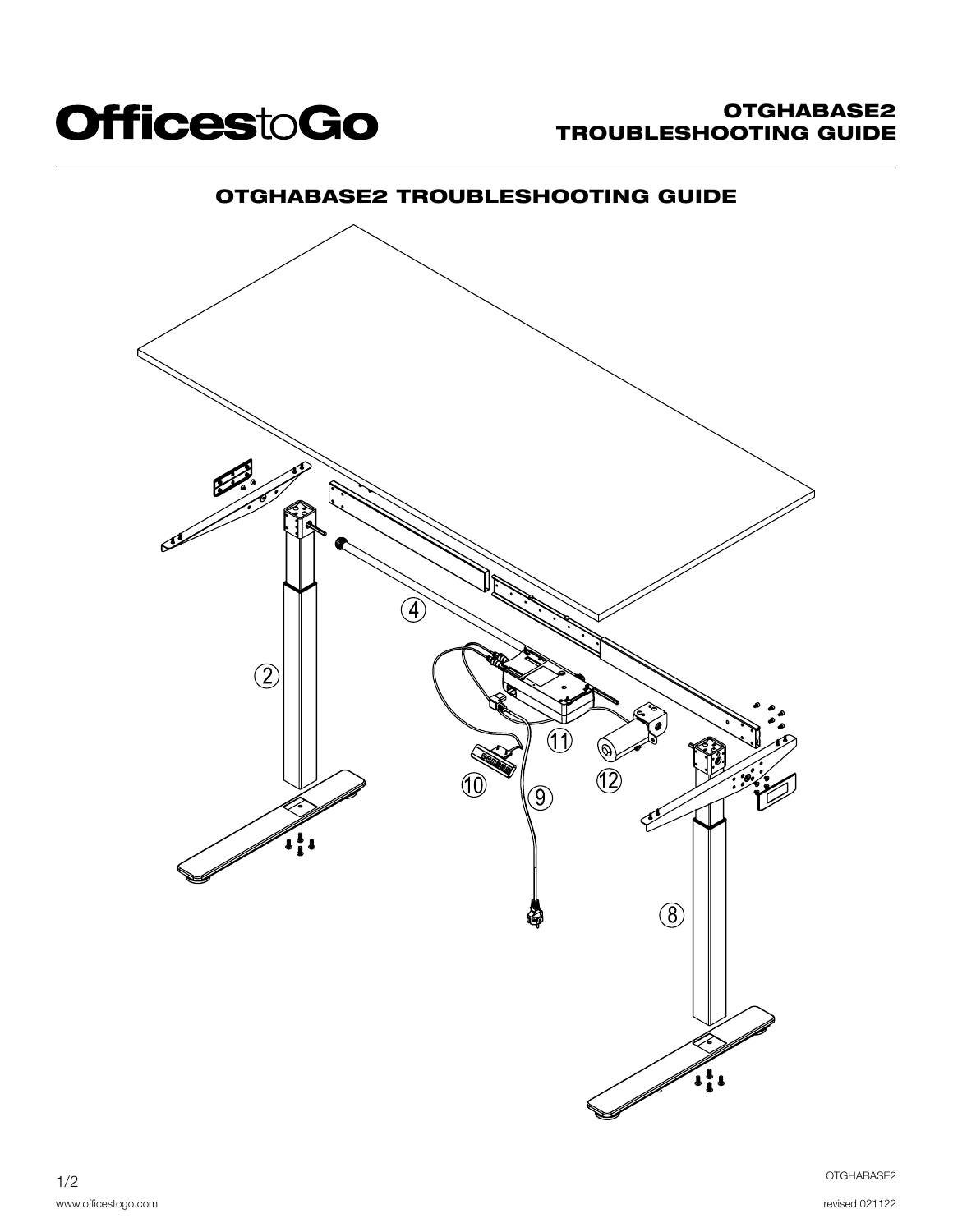

# OTGHABASE2 TROUBLESHOOTING GUIDE